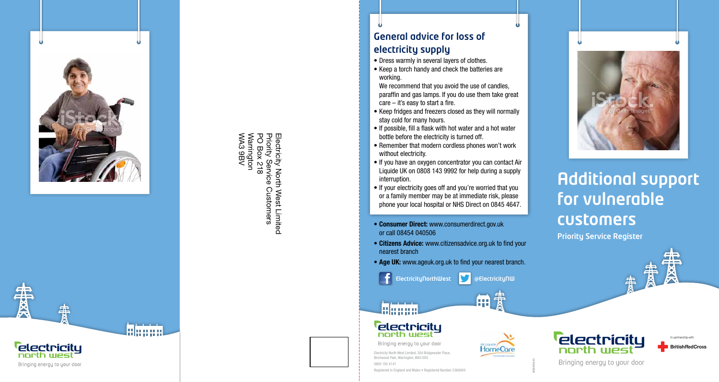

Electricity N<br>Priority Ser<br>Warrington<br>WA3 9BV<br>WA3 9BV WA3 9BV Warrington PO Box 218 Priority Service Customers Electricity North West Limited 812 ervice North West Limited Customers

General advice for loss of electricity supply

- Dress warmly in several layers of clothes.
- Keep a torch handy and check the batteries are working.

We recommend that you avoid the use of candles, paraffin and gas lamps. If you do use them take great care – it's easy to start a fire.

- Keep fridges and freezers closed as they will normally stay cold for many hours.
- If possible, fill a flask with hot water and a hot water bottle before the electricity is turned off.
- Remember that modern cordless phones won't work without electricity.
- If you have an oxygen concentrator you can contact Air Liquide UK on 0808 143 9992 for help during a supply interruption.
- If your electricity goes off and you're worried that you or a family member may be at immediate risk, please phone your local hospital or NHS Direct on 0845 4647.
- Consumer Direct: www.consumerdirect.gov.uk or call 08454 040506
- Citizens Advice: www.citizensadvice.org.uk to find your nearest branch
- Age UK: www.ageuk.org.uk to find your nearest branch.
	- ElectricityNorthWest **@ElectricityNW**







Bringing energy to your door





10/14/SD/6258



Priority Service Register

customers

for vulnerable

Additional support



Electricity North West Limited, 304 Bridgewater Place, Birchwood Park, Warrington, WA3 6XG 0800 195 4141 Registered in England and Wales • Registered Number 2366949

**Telectricitu** 

Bringing energy to your door

**north west** 

elanno



lahaan

雷

Ķ